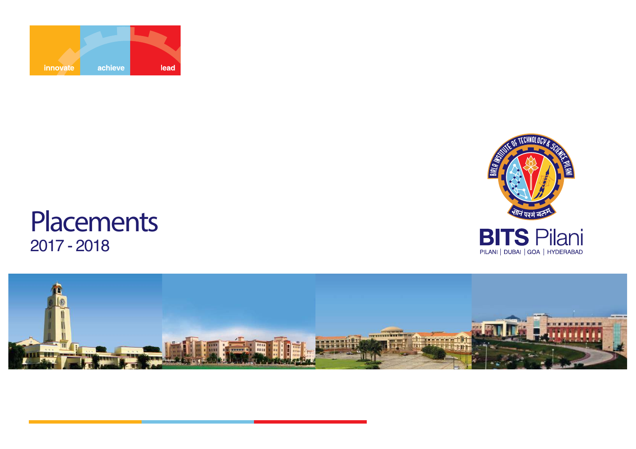



### 2017 - 2018**Placements**

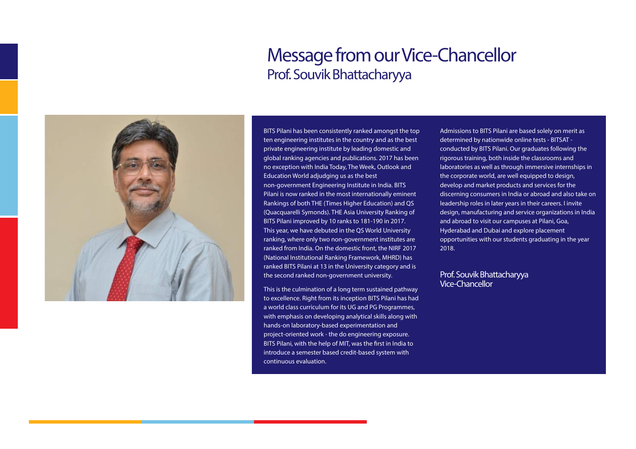### **Message from our Vice-Chancellor**Prof. Souvik Bhattacharyya



BITS Pilani has been consistently ranked amongst the top ten engineering institutes in the country and as the best private engineering institute by leading domestic and global ranking agencies and publications. 2017 has been no exception with India Today, The Week, Outlook and Education World adjudging us as the best non-government Engineering Institute in India. BITS Pilani is now ranked in the most internationally eminent Rankings of both THE (Times Higher Education) and QS (Quacquarelli Symonds). THE Asia University Ranking of BITS Pilani improved by 10 ranks to 181-190 in 2017. This year, we have debuted in the QS World University ranking, where only two non-government institutes are ranked from India. On the domestic front, the NIRF 2017 (National Institutional Ranking Framework, MHRD) has ranked BITS Pilani at 13 in the University category and is the second ranked non-government university.

This is the culmination of a long term sustained pathway to excellence. Right from its inception BITS Pilani has had a world class curriculum for its UG and PG Programmes, with emphasis on developing analytical skills along with hands-on laboratory-based experimentation and project-oriented work - the do engineering exposure. BITS Pilani, with the help of MIT, was the first in India to introduce a semester based credit-based system with continuous evaluation.

Admissions to BITS Pilani are based solely on merit as determined by nationwide online tests - BITSAT conducted by BITS Pilani. Our graduates following the rigorous training, both inside the classrooms and laboratories as well as through immersive internships in the corporate world, are well equipped to design, develop and market products and services for the discerning consumers in India or abroad and also take on leadership roles in later years in their careers. I invite design, manufacturing and service organizations in India and abroad to visit our campuses at Pilani, Goa,Hyderabad and Dubai and explore placement opportunities with our students graduating in the year 2018.

#### **Prof. Souvik Bhattacharyya Vice-Chancellor**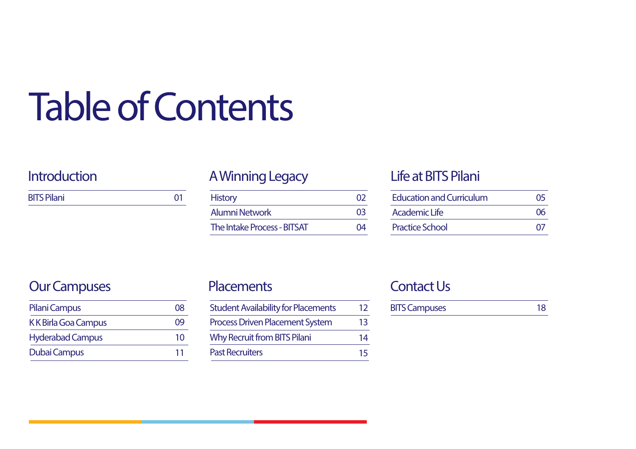# **Table of Contents**

| <b>BITS Pilani</b> |  |
|--------------------|--|
|--------------------|--|

### **Introduction A Winning Legacy**

| <b>History</b>                     |    |
|------------------------------------|----|
| <b>Alumni Network</b>              | 03 |
| <b>The Intake Process - BITSAT</b> | 14 |

### **Life at BITS Pilani**

| <b>Education and Curriculum</b> | 05       |
|---------------------------------|----------|
| Academic Life                   | 06       |
| <b>Practice School</b>          | $\Omega$ |

### **Our Campuses**

| Pilani Campus              | 08 |
|----------------------------|----|
| <b>KK Birla Goa Campus</b> | 09 |
| <b>Hyderabad Campus</b>    | 10 |
| Dubai Campus               | 11 |

### **Placements**

| <b>Student Availability for Placements</b> | 12 |
|--------------------------------------------|----|
| <b>Process Driven Placement System</b>     | 13 |
| <b>Why Recruit from BITS Pilani</b>        | 14 |
| <b>Past Recruiters</b>                     | 15 |

### **Contact Us**

| <b>BITS Campuses</b> | 18 |
|----------------------|----|
|                      |    |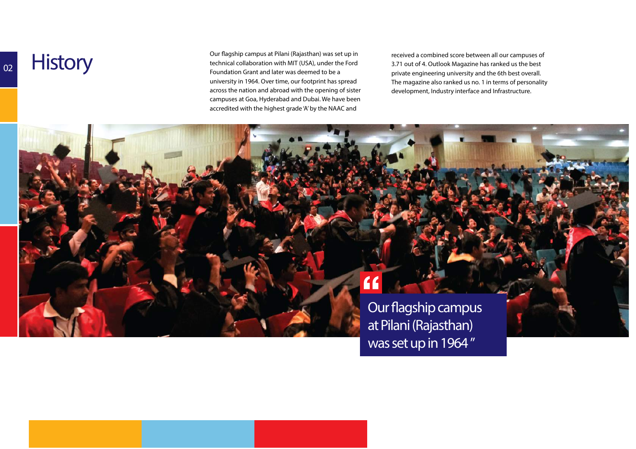## **History**

**02**

Our flagship campus at Pilani (Rajasthan) was set up in<br>technical collaboration with MIT (USA), under the Ford<br>Foundation Grant and later was deemed to be a university in 1964. Over time, our footprint has spread across the nation and abroad with the opening of sister campuses at Goa, Hyderabad and Dubai. We have been accredited with the highest grade 'A' by the NAAC and

received a combined score between all our campuses of 3.71 out of 4. Outlook Magazine has ranked us the best private engineering university and the 6th best overall. The magazine also ranked us no. 1 in terms of personality development, Industry interface and Infrastructure.

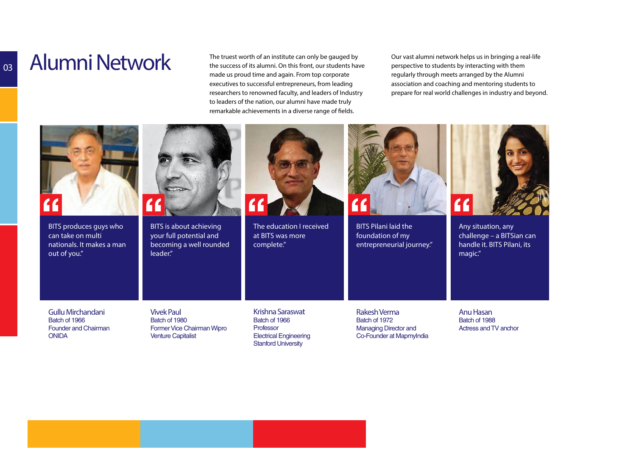## **Alumni Network**

**03**

 The truest worth of an institute can only be gauged by the success of its alumni. On this front, our students have made us proud time and again. From top corporate executives to successful entrepreneurs, from leading researchers to renowned faculty, and leaders of Industry to leaders of the nation, our alumni have made truly remarkable achievements in a diverse range of fields.

Our vast alumni network helps us in bringing a real-life perspective to students by interacting with them regularly through meets arranged by the Alumni association and coaching and mentoring students to prepare for real world challenges in industry and beyond.

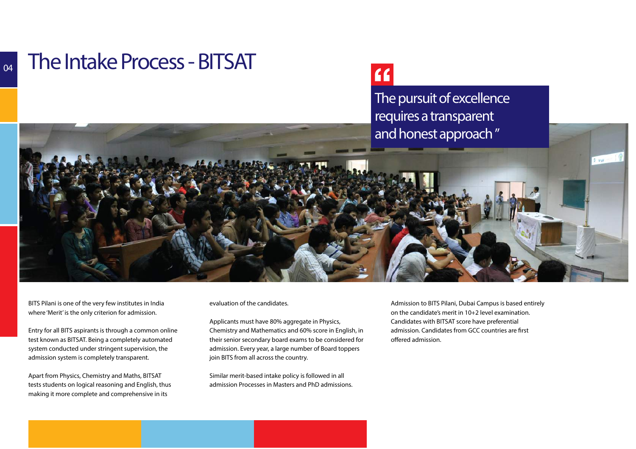### **The Intake Process - BITSAT**

### $66$

**The pursuit of excellence requires a transparent and honest approach "**



BITS Pilani is one of the very few institutes in Indiawhere 'Merit' is the only criterion for admission.

Entry for all BITS aspirants is through a common online test known as BITSAT. Being a completely automated system conducted under stringent supervision, the admission system is completely transparent.

Apart from Physics, Chemistry and Maths, BITSAT tests students on logical reasoning and English, thusmaking it more complete and comprehensive in its

evaluation of the candidates.

Applicants must have 80% aggregate in Physics, Chemistry and Mathematics and 60% score in English, in their senior secondary board exams to be considered for admission. Every year, a large number of Board toppers join BITS from all across the country.

Similar merit-based intake policy is followed in all admission Processes in Masters and PhD admissions. Admission to BITS Pilani, Dubai Campus is based entirely on the candidate's merit in 10+2 level examination. Candidates with BITSAT score have preferential admission. Candidates from GCC countries are first offered admission.

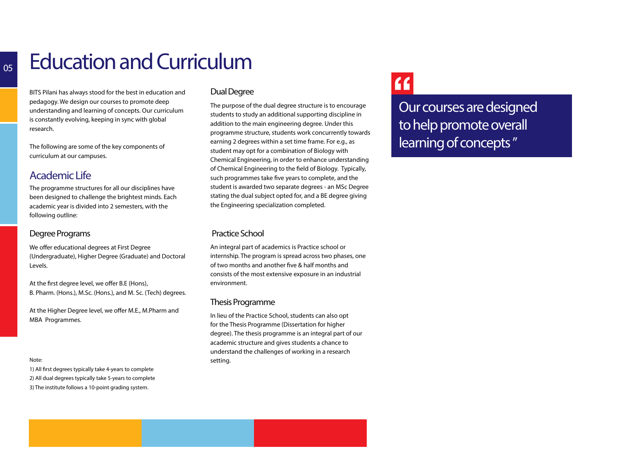## **Education and Curriculum**

BITS Pilani has always stood for the best in education and pedagogy. We design our courses to promote deep understanding and learning of concepts. Our curriculum is constantly evolving, keeping in sync with global research.

The following are some of the key components of curriculum at our campuses.

#### **Academic Life**

The programme structures for all our disciplines have been designed to challenge the brightest minds. Each academic year is divided into 2 semesters, with the following outline:

#### **Degree Programs**

We offer educational degrees at First Degree (Undergraduate), Higher Degree (Graduate) and Doctoral Levels.

At the first degree level, we offer B.E (Hons), B. Pharm. (Hons.), M.Sc. (Hons.), and M. Sc. (Tech) degrees.

At the Higher Degree level, we offer M.E., M.Pharm and MBA Programmes.

#### **Note:**

1) All first degrees typically take 4-years to complete 2) All dual degrees typically take 5-years to complete3) The institute follows a 10-point grading system.

#### **Dual Degree**

The purpose of the dual degree structure is to encourage students to study an additional supporting discipline in addition to the main engineering degree. Under this programme structure, students work concurrently towards earning 2 degrees within a set time frame. For e.g., as student may opt for a combination of Biology with Chemical Engineering, in order to enhance understanding of Chemical Engineering to the field of Biology. Typically, such programmes take five years to complete, and the student is awarded two separate degrees - an MSc Degree stating the dual subject opted for, and a BE degree giving the Engineering specialization completed.

#### **Practice School**

An integral part of academics is Practice school or internship. The program is spread across two phases, one of two months and another five & half months and consists of the most extensive exposure in an industrial environment.

#### **Thesis Programme**

In lieu of the Practice School, students can also optfor the Thesis Programme (Dissertation for higherdegree). The thesis programme is an integral part of our academic structure and gives students a chance to understand the challenges of working in a research setting.

### $66$

**Our courses are designed to help promote overall learning of concepts "**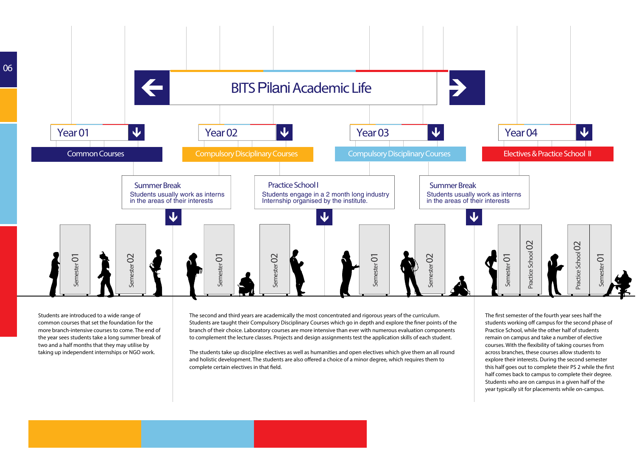

Students are introduced to a wide range of common courses that set the foundation for the more branch-intensive courses to come. The end of the year sees students take a long summer break of two and a half months that they may utilise by taking up independent internships or NGO work.

The second and third years are academically the most concentrated and rigorous years of the curriculum. Students are taught their Compulsory Disciplinary Courses which go in depth and explore the finer points of the branch of their choice. Laboratory courses are more intensive than ever with numerous evaluation components to complement the lecture classes. Projects and design assignments test the application skills of each student.

The students take up discipline electives as well as humanities and open electives which give them an all round and holistic development. The students are also offered a choice of a minor degree, which requires them to complete certain electives in that field.

The first semester of the fourth year sees half the students working off campus for the second phase of Practice School, while the other half of students remain on campus and take a number of elective courses. With the flexibility of taking courses from across branches, these courses allow students to explore their interests. During the second semester this half goes out to complete their PS 2 while the first half comes back to campus to complete their degree. Students who are on campus in a given half of the year typically sit for placements while on-campus.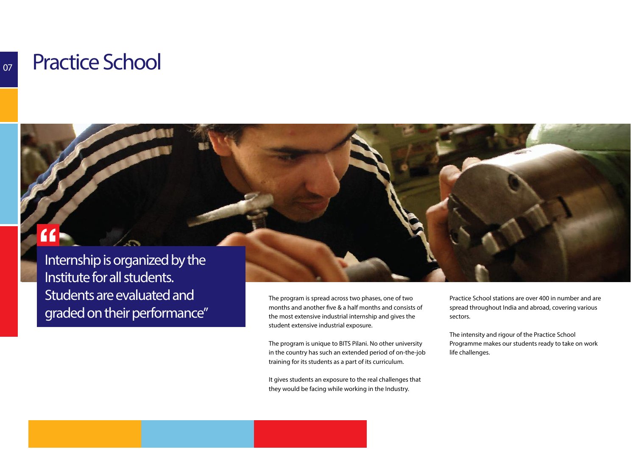### **Practice School**

### $\overline{\mathbf{f}}$

**Internship is organized by theInstitute for all students. Students are evaluated and graded on their performance"**

The program is spread across two phases, one of two months and another five & a half months and consists of the most extensive industrial internship and gives the student extensive industrial exposure.

The program is unique to BITS Pilani. No other university in the country has such an extended period of on-the-job training for its students as a part of its curriculum.

It gives students an exposure to the real challenges that they would be facing while working in the Industry.

Practice School stations are over 400 in number and are spread throughout India and abroad, covering various sectors.

The intensity and rigour of the Practice School Programme makes our students ready to take on work life challenges.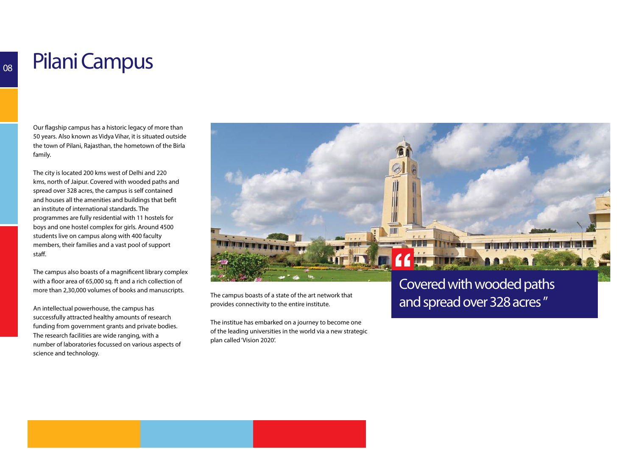## **Pilani Campus**

Our flagship campus has a historic legacy of more than 50 years. Also known as Vidya Vihar, it is situated outside the town of Pilani, Rajasthan, the hometown of the Birla family.

The city is located 200 kms west of Delhi and 220 kms, north of Jaipur. Covered with wooded paths andspread over 328 acres, the campus is self containedand houses all the amenities and buildings that befit an institute of international standards. The programmes are fully residential with 11 hostels for boys and one hostel complex for girls. Around 4500students live on campus along with 400 faculty members, their families and a vast pool of supportstaff.

The campus also boasts of a magnificent library complex with a floor area of 65,000 sq. ft and a rich collection of more than 2,30,000 volumes of books and manuscripts.

An intellectual powerhouse, the campus has successfully attracted healthy amounts of research funding from government grants and private bodies. The research facilities are wide ranging, with a number of laboratories focussed on various aspects ofscience and technology.



The campus boasts of a state of the art network that provides connectivity to the entire institute.

The institue has embarked on a journey to become one of the leading universities in the world via a new strategic plan called 'Vision 2020'.

### **Covered with wooded paths and spread over 328 acres "**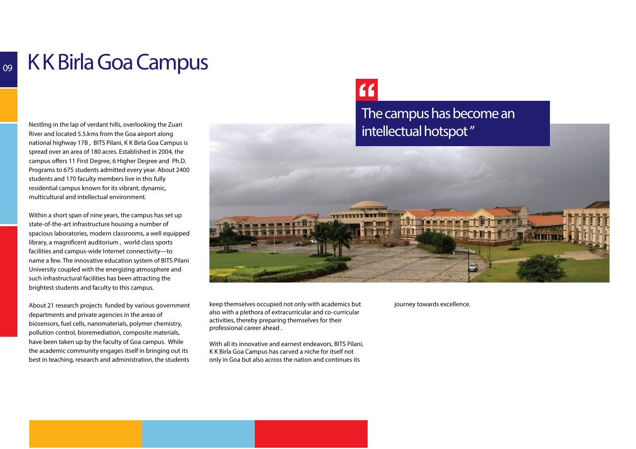## **K K Birla Goa Campus**

Nestling in the lap of verdant hills, overlooking the Zuari River and located 5.5.kms from the Goa airport along national highway 17B , BITS Pilani, K K Birla Goa Campus is spread over an area of 180 acres. Established in 2004, the campus offers 11 First Degree, 6 Higher Degree and Ph.D. Programs to 675 students admitted every year. About 2400 students and 170 faculty members live in this fully residential campus known for its vibrant, dynamic, multicultural and intellectual environment.

Within a short span of nine years, the campus has set up state-of-the-art infrastructure housing a number of spacious laboratories, modern classrooms, a well equipped library, a magnificent auditorium, world class sports facilities and campus-wide Internet connectivity—to name a few. The innovative education system of BITS Pilani University coupled with the energizing atmosphere and such infrastructural facilities has been attracting the brightest students and faculty to this campus.

About 21 research projects funded by various government departments and private agencies in the areas of biosensors, fuel cells, nanomaterials, polymer chemistry, pollution control, bioremediation, composite materials, have been taken up by the faculty of Goa campus. While the academic community engages itself in bringing out its best in teaching, research and administration, the students

### $f$

**The campus has become an intellectual hotspot "**



keep themselves occupied not only with academics but also with a plethora of extracurricular and co-curricular activities, thereby preparing themselves for their professional career ahead .

With all its innovative and earnest endeavors, BITS Pilani,K K Birla Goa Campus has carved a niche for itself notonly in Goa but also across the nation and continues its

journey towards excellence.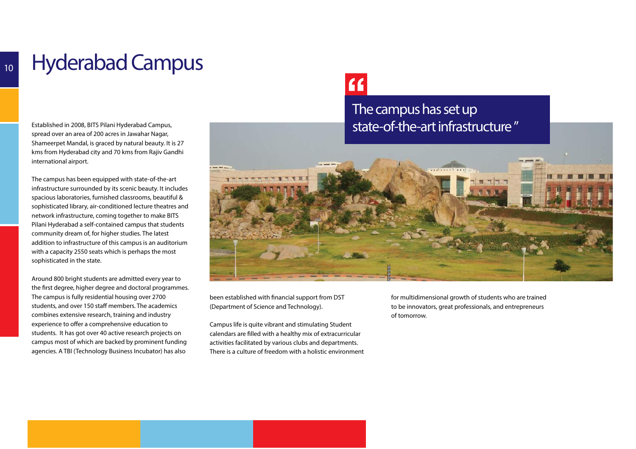## **Hyderabad Campus**

Established in 2008, BITS Pilani Hyderabad Campus, spread over an area of 200 acres in Jawahar Nagar, Shameerpet Mandal, is graced by natural beauty. It is 27 kms from Hyderabad city and 70 kms from Rajiv Gandhi international airport.

The campus has been equipped with state-of-the-art infrastructure surrounded by its scenic beauty. It includes spacious laboratories, furnished classrooms, beautiful & sophisticated library, air-conditioned lecture theatres and network infrastructure, coming together to make BITS Pilani Hyderabad a self-contained campus that students community dream of, for higher studies. The latest addition to infrastructure of this campus is an auditorium with a capacity 2550 seats which is perhaps the most sophisticated in the state.

Around 800 bright students are admitted every year to the first degree, higher degree and doctoral programmes. The campus is fully residential housing over 2700 students, and over 150 staff members. The academics combines extensive research, training and industry experience to offer a comprehensive education to students. It has got over 40 active research projects on campus most of which are backed by prominent funding agencies. A TBI (Technology Business Incubator) has also

### $f$

### **The campus has set up state-of-the-art infrastructure "**



been established with financial support from DST (Department of Science and Technology).

Campus life is quite vibrant and stimulating Student calendars are filled with a healthy mix of extracurricular activities facilitated by various clubs and departments. There is a culture of freedom with a holistic environment for multidimensional growth of students who are trained to be innovators, great professionals, and entrepreneurs of tomorrow.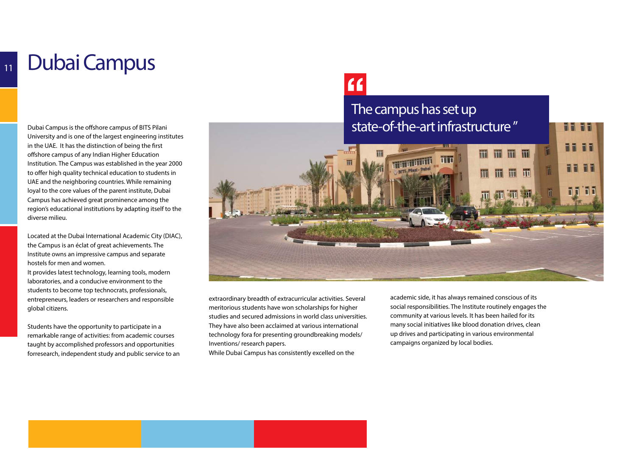## **Dubai Campus**

Dubai Campus is the offshore campus of BITS Pilani University and is one of the largest engineering institutes in the UAE. It has the distinction of being the first offshore campus of any Indian Higher Education Institution. The Campus was established in the year 2000 to offer high quality technical education to students in UAE and the neighboring countries. While remaining loyal to the core values of the parent institute, Dubai Campus has achieved great prominence among the region's educational institutions by adapting itself to the diverse milieu.

Located at the Dubai International Academic City (DIAC), the Campus is an éclat of great achievements. The Institute owns an impressive campus and separate hostels for men and women.

It provides latest technology, learning tools, modern laboratories, and a conducive environment to the students to become top technocrats, professionals, entrepreneurs, leaders or researchers and responsible global citizens.

Students have the opportunity to participate in a remarkable range of activities: from academic courses taught by accomplished professors and opportunities forresearch, independent study and public service to an

## $\epsilon$

### **The campus has set up state-of-the-art infrastructure "**



extraordinary breadth of extracurricular activities. Several meritorious students have won scholarships for higher studies and secured admissions in world class universities. They have also been acclaimed at various international technology fora for presenting groundbreaking models/ Inventions/ research papers.While Dubai Campus has consistently excelled on the

academic side, it has always remained conscious of its social responsibilities. The Institute routinely engages the community at various levels. It has been hailed for its many social initiatives like blood donation drives, clean up drives and participating in various environmental campaigns organized by local bodies.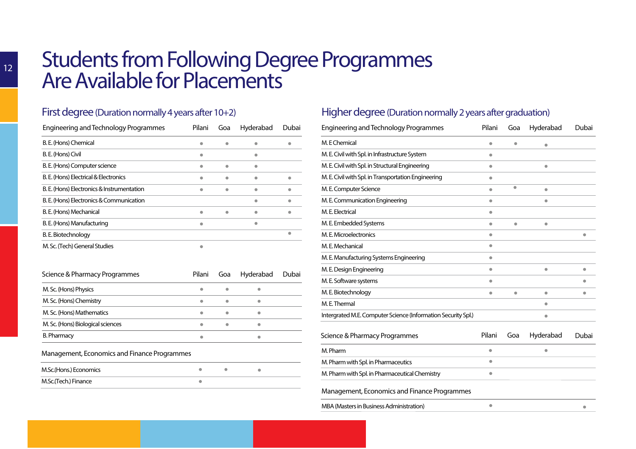# **Students from Following Degree Programmes Are Available for Placements**

#### **First degree** (Duration normally 4 years after 10+2)

| <b>Engineering and Technology Programmes</b> | Pilani | Goa | Hyderabad | Dubai |
|----------------------------------------------|--------|-----|-----------|-------|
| B. E. (Hons) Chemical                        |        |     |           |       |
| B.E. (Hons) Civil                            |        |     |           |       |
| B. E. (Hons) Computer science                |        |     |           |       |
| B. E. (Hons) Electrical & Electronics        |        |     |           |       |
| B. E. (Hons) Electronics & Instrumentation   |        | ۰   |           |       |
| B. E. (Hons) Electronics & Communication     |        |     |           |       |
| B. E. (Hons) Mechanical                      |        |     |           |       |
| B. E. (Hons) Manufacturing                   |        |     |           |       |
| B. E. Biotechnology                          |        |     |           |       |
| M. Sc. (Tech) General Studies                |        |     |           |       |

| Science & Pharmacy Programmes     | Pilani | Goa | Hyderabad | Dubai |
|-----------------------------------|--------|-----|-----------|-------|
| M. Sc. (Hons) Physics             |        |     |           |       |
| M. Sc. (Hons) Chemistry           | ۰      |     |           |       |
| M. Sc. (Hons) Mathematics         | ۰      |     | $\bullet$ |       |
| M. Sc. (Hons) Biological sciences | ۰      |     | $\bullet$ |       |
| <b>B. Pharmacy</b>                |        |     |           |       |

#### **Management, Economics and Finance Programmes**

| M.Sc.(Hons.) Economics | $\bullet$ |  |
|------------------------|-----------|--|
| M.Sc.(Tech.) Finance   |           |  |

#### **Higher degree** (Duration normally 2 years after graduation)

| Engineering and Technology Programmes                         | Pilani    | Goa       | Hyderabad | Dubai |  |
|---------------------------------------------------------------|-----------|-----------|-----------|-------|--|
| M. E Chemical                                                 | ۰         | ۸         | $\bullet$ |       |  |
| M. E. Civil with Spl. in Infrastructure System                | $\bullet$ |           |           |       |  |
| M. E. Civil with Spl. in Structural Engineering               | ۰         |           | $\bullet$ |       |  |
| M. E. Civil with Spl. in Transportation Engineering           | $\bullet$ |           |           |       |  |
| M. E. Computer Science                                        | $\bullet$ | ۰         | $\bullet$ |       |  |
| M. E. Communication Engineering                               | ۰         |           | $\bullet$ |       |  |
| M.E. Electrical                                               | $\bullet$ |           |           |       |  |
| M. E. Embedded Systems                                        | $\bullet$ |           | ۰         |       |  |
| M. E. Microelectronics                                        | $\bullet$ |           |           |       |  |
| M.E. Mechanical                                               | $\bullet$ |           |           |       |  |
| M. E. Manufacturing Systems Engineering                       | $\bullet$ |           |           |       |  |
| M. E. Design Engineering                                      | $\bullet$ |           | $\bullet$ | ٠     |  |
| M. E. Software systems                                        | $\bullet$ |           |           |       |  |
| M.E. Biotechnology                                            | $\bullet$ | $\bullet$ | $\bullet$ | ۰     |  |
| M.E.Thermal                                                   |           |           | $\bullet$ |       |  |
| Intergrated M.E. Computer Science (Information Security Spl.) |           |           | $\bullet$ |       |  |
| Science & Pharmacy Programmes                                 | Pilani    | Goa       | Hyderabad | Dubai |  |
| M. Pharm                                                      | ۰         |           | ۰         |       |  |
| M. Pharm with Spl. in Pharmaceutics                           | $\bullet$ |           |           |       |  |
| M. Pharm with Spl. in Pharmaceutical Chemistry                | $\bullet$ |           |           |       |  |
| Management, Economics and Finance Programmes                  |           |           |           |       |  |

 $\bullet$ 

 $\bullet$ 

MBA (Masters in Business Administration)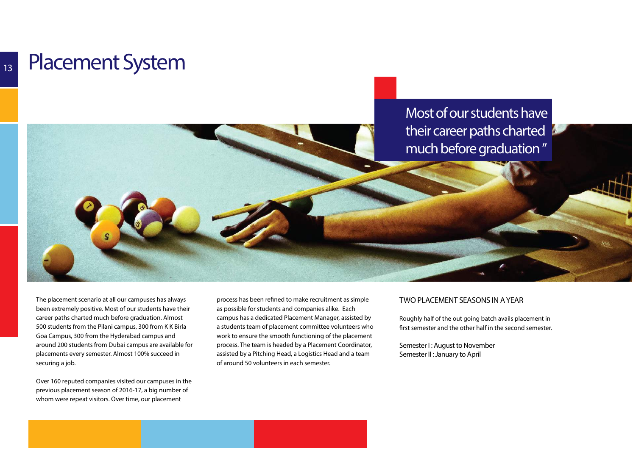### **Placement System**

**Most of our students have their career paths charted much before graduation "**

The placement scenario at all our campuses has always been extremely positive. Most of our students have their career paths charted much before graduation. Almost 500 students from the Pilani campus, 300 from K K Birla Goa Campus, 300 from the Hyderabad campus and around 200 students from Dubai campus are available for placements every semester. Almost 100% succeed in securing a job.

Over 160 reputed companies visited our campuses in the previous placement season of 2016-17, a big number of whom were repeat visitors. Over time, our placement

process has been refined to make recruitment as simple as possible for students and companies alike. Each campus has a dedicated Placement Manager, assisted by a students team of placement committee volunteers who work to ensure the smooth functioning of the placement process. The team is headed by a Placement Coordinator, assisted by a Pitching Head, a Logistics Head and a team of around 50 volunteers in each semester.

#### **TWO PLACEMENT SEASONS IN A YEAR**

Roughly half of the out going batch avails placement in first semester and the other half in the second semester.

**Semester I : August to NovemberSemester II : January to April**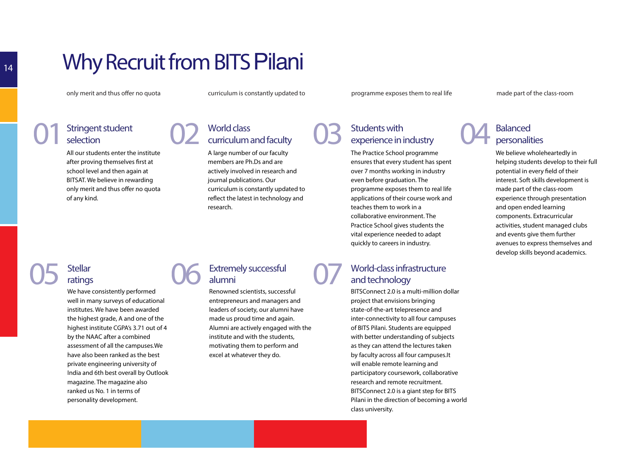## **Why Recruit from BITS** Pilani

**02**

only merit and thus offer no quota curriculum is constantly updated to programme exposes them to real life made part of the class-room

All our students enter the instituteafter proving themselves first at school level and then again at BITSAT. We believe in rewardingonly merit and thus offer no quota

**Stringent student** 

A large number of our facultymembers are Ph.Ds and are actively involved in research andjournal publications. Our

**World class** 

research.

curriculum is constantly updated toreflect the latest in technology and

### Stringent student<br> **CON curriculum and faculty**<br> **CON all our students enter the institute**<br> **CON CON CON CON CON CON CON CON CON CON CON CON CON CON CON CON CON CON CON CON CON** Stringent student<br>
selection **experience in industry**<br> **experience in industry**<br> **experience in industry**<br> **experience in industry**<br> **experience in industry**<br> **experience in industry**<br> **experience in industry**<br> **experience**

The Practice School programme ensures that every student has spentover 7 months working in industryeven before graduation. The programme exposes them to real life applications of their course work andteaches them to work in a collaborative environment. The Practice School gives students the vital experience needed to adaptquickly to careers in industry.

#### **Balanced personalities**

We believe wholeheartedly in helping students develop to their fullpotential in every field of their interest. Soft skills development ismade part of the class-room experience through presentationand open ended learning components. Extracurricularactivities, student managed clubsand events give them further avenues to express themselves anddevelop skills beyond academics.

### **Stellarratings**

**05**

of any kind.

**selection** 

Stellar<br>
ratings<br>
We have consistently performed<br>
well in many curvey of educational well in many surveys of educationalinstitutes. We have been awarded the highest grade, A and one of the highest institute CGPA's 3.71 out of 4by the NAAC after a combined assessment of all the campuses.We have also been ranked as the bestprivate engineering university ofIndia and 6th best overall by Outlookmagazine. The magazine alsoranked us No. 1 in terms ofpersonality development.

#### **Extremely successful alumni**

Renowned scientists, successfulentrepreneurs and managers and leaders of society, our alumni havemade us proud time and again. Alumni are actively engaged with the institute and with the students,motivating them to perform andexcel at whatever they do.

#### **World-class infrastructure 07and technology**

BITSConnect 2.0 is a multi-million dollarproject that envisions bringing state-of-the-art telepresence and inter-connectivity to all four campusesof BITS Pilani. Students are equipped with better understanding of subjectsas they can attend the lectures taken by faculty across all four campuses.Itwill enable remote learning and participatory coursework, collaborativeresearch and remote recruitment.BITSConnect 2.0 is a giant step for BITS Pilani in the direction of becoming a world class university.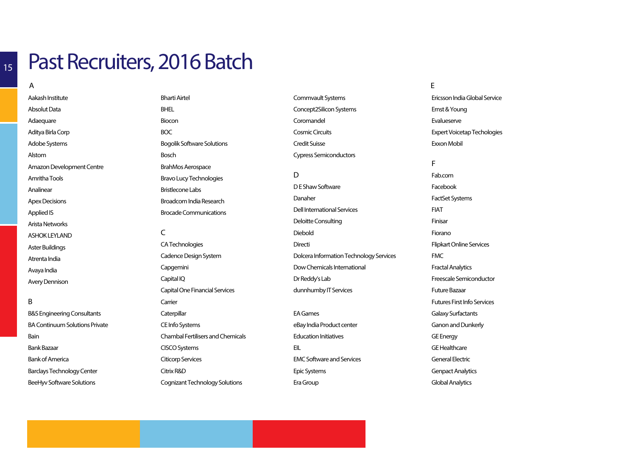### **15**

## **Past Recruiters, 2016 Batch**

**A**

Aakash InstituteAbsolut DataAdaequareAditya Birla CorpAdobe SystemsAlstom Amazon Development CentreAmritha ToolsAnalinearApex DecisionsApplied ISArista NetworksASHOK LEYLANDAster Buildings

Atrenta IndiaAvaya India

Avery Dennison

#### **B**

B&S Engineering ConsultantsBA Continuum Solutions PrivateBainBank BazaarBank of AmericaBarclays Technology Center

BeeHyv Software Solutions

Bharti Airtel**BHFL** BioconBOCBogolik Software SolutionsBoschBrahMos AerospaceBravo Lucy TechnologiesBristlecone LabsBroadcom India ResearchBrocade Communications**<sup>E</sup>**

**C**

 CA TechnologiesCadence Design SystemCapgeminiCapital IQCapital One Financial Services**Carrier Caterpillar** CE Info SystemsChambal Fertilisers and ChemicalsCISCO SystemsCiticorp ServicesCitrix R&DCognizant Technology Solutions

Commvault SystemsConcept2Silicon Systems**Coromandel** Cosmic CircuitsCredit Suisse

Cypress Semiconductors

**D** D E Shaw SoftwareDanaherDell International ServicesDeloitte ConsultingDieboldDirectiDolcera Information Technology ServicesDow Chemicals InternationalDr Reddy's Lab

EA GameseBay India Product centerEducation InitiativesEILEMC Software and ServicesEpic SystemsEra Group

dunnhumby IT Services

Ericsson India Global ServiceErnst & YoungEvalueserveExpert Voicetap TechologiesExxon Mobil

### **F**Fab.com

 FacebookFactSet SystemsFIATFinisarFioranoFlipkart Online ServicesFMCFractal AnalyticsFreescale SemiconductorFuture BazaarFutures First Info ServicesGalaxy SurfactantsGanon and DunkerlyGE EnergyGE HealthcareGeneral ElectricGenpact AnalyticsGlobal Analytics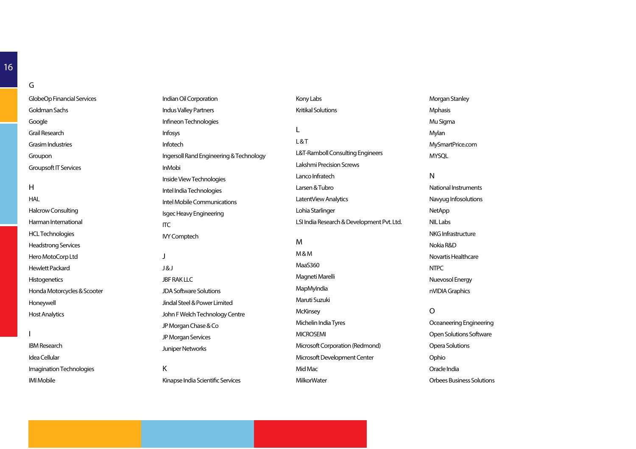GlobeOp Financial ServicesGoldman SachsGoogleGrail ResearchGrasim IndustriesGrouponGroupsoft IT Services

 HALHalcrow ConsultingHarman InternationalHCL TechnologiesHeadstrong ServicesHero MotoCorp LtdHewlett Packard**Histogenetics** Honda Motorcycles & ScooterHoneywellHost Analytics

 $\mathbf{I}$ 

**H**

**G**

IBM ResearchIdea CellularImagination TechnologiesIMI Mobile

Indian Oil CorporationIndus Valley PartnersInfineon Technologies InfosysInfotechIngersoll Rand Engineering & TechnologyInMobiInside View TechnologiesIntel India TechnologiesIntel Mobile CommunicationsIsgec Heavy EngineeringITCIVY Comptech**J**J & J**JBF RAK LLC** JDA Software SolutionsJindal Steel & Power Limited

John F Welch Technology CentreJP Morgan Chase & CoJP Morgan ServicesJuniper Networks**K**

Kinapse India Scientific Services

Kony LabsKritikal Solutions**L**L & TL&T-Ramboll Consulting EngineersLakshmi Precision ScrewsLanco InfratechLarsen & TubroLatentView AnalyticsLohia StarlingerLSI India Research & Development Pvt. Ltd.**M** M & M MaaS360Magneti Marelli**MapMyIndia** Maruti Suzuki**McKinsey** Michelin India Tyres**MICROSEMI** Microsoft Corporation (Redmond)Microsoft Development CenterMid MacMilkorWater

Morgan StanleyMphasisMu SigmaMylanMySmartPrice.comMYSQL

#### **N**

 National InstrumentsNavyug InfosolutionsNetAppNIL LabsNKG InfrastructureNokia R&D Novartis HealthcareNTPCNuevosol EnergynVIDIA Graphics

**O**

 Oceaneering EngineeringOpen Solutions SoftwareOpera SolutionsOphioOracle IndiaOrbees Business Solutions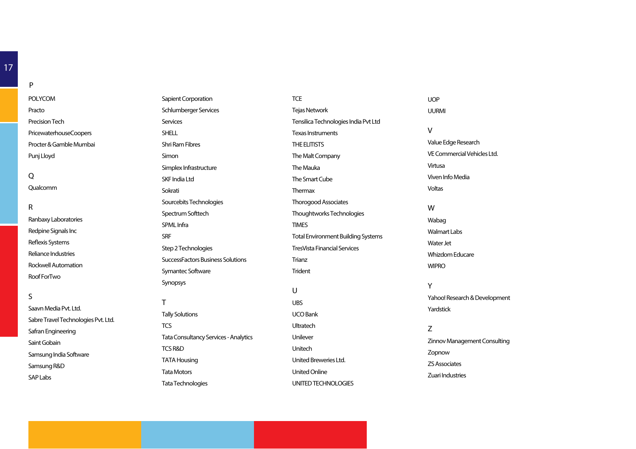POLYCOMPractoPrecision TechPricewaterhouseCoopersProcter & Gamble MumbaiPunj Lloyd

#### **Q**

**P**

Qualcomm

#### **R**

Ranbaxy LaboratoriesRedpine Signals IncReflexis Systems Reliance IndustriesRockwell AutomationRoof ForTwo

#### **S**

Saavn Media Pvt. Ltd.Sabre Travel Technologies Pvt. Ltd. Safran EngineeringSaint GobainSamsung India SoftwareSamsung R&DSAP Labs

Sapient CorporationSchlumberger ServicesServices**SHELL** Shri Ram FibresSimonSimplex InfrastructureSKF India LtdSokratiSourcebits TechnologiesSpectrum SofttechSPML InfraSRFStep 2 TechnologiesSuccessFactors Business SolutionsSymantec SoftwareSynopsys**T**

#### Tally Solutions**TCS** Tata Consultancy Services - AnalyticsTCS R&DTATA HousingTata MotorsTata Technologies

Tejas NetworkTensilica Technologies India Pvt LtdTexas InstrumentsTHE ELITISTSThe Malt CompanyThe MaukaThe Smart CubeThermaxThorogood AssociatesThoughtworks TechnologiesTIMESTotal Environment Building SystemsTresVista Financial ServicesTrianzTrident**U** UBSUCO BankUltratechUnileverUnitechUnited Breweries Ltd.United OnlineUNITED TECHNOLOGIES

**TCE** 

UURMI**V** Value Edge ResearchVE Commercial Vehicles Ltd.VirtusaViven Info MediaVoltas**W** WabagWalmart LabsWater JetWhizdom EducareWIPRO**Y**Yahoo! Research & DevelopmentYardstick**Z** Zinnov Management ConsultingZopnow

UOP

ZS Associates

Zuari Industries